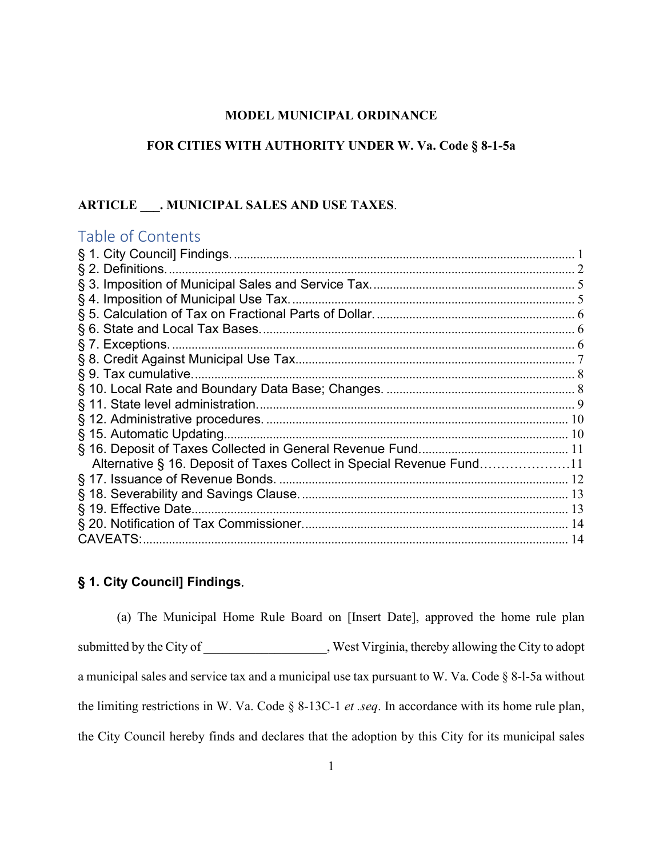# **MODEL MUNICIPAL ORDINANCE**

# **FOR CITIES WITH AUTHORITY UNDER W. Va. Code § 8-1-5a**

# **ARTICLE \_\_\_. MUNICIPAL SALES AND USE TAXES**.

# Table of Contents

| Alternative § 16. Deposit of Taxes Collect in Special Revenue Fund11<br>§ 19. Effective Date<br><b>CAVEATS:.</b> |  |
|------------------------------------------------------------------------------------------------------------------|--|
|                                                                                                                  |  |
|                                                                                                                  |  |
|                                                                                                                  |  |
|                                                                                                                  |  |
|                                                                                                                  |  |
|                                                                                                                  |  |
|                                                                                                                  |  |
|                                                                                                                  |  |
|                                                                                                                  |  |
|                                                                                                                  |  |
|                                                                                                                  |  |
|                                                                                                                  |  |
|                                                                                                                  |  |
|                                                                                                                  |  |
|                                                                                                                  |  |
|                                                                                                                  |  |
|                                                                                                                  |  |
|                                                                                                                  |  |
|                                                                                                                  |  |

# <span id="page-0-0"></span>**§ 1. City Council] Findings**.

(a) The Municipal Home Rule Board on [Insert Date], approved the home rule plan submitted by the City of \_\_\_\_\_\_\_\_\_\_\_\_\_\_\_\_, West Virginia, thereby allowing the City to adopt a municipal sales and service tax and a municipal use tax pursuant to W. Va. Code § 8-l-5a without the limiting restrictions in W. Va. Code § 8-13C-1 *et .seq*. In accordance with its home rule plan, the City Council hereby finds and declares that the adoption by this City for its municipal sales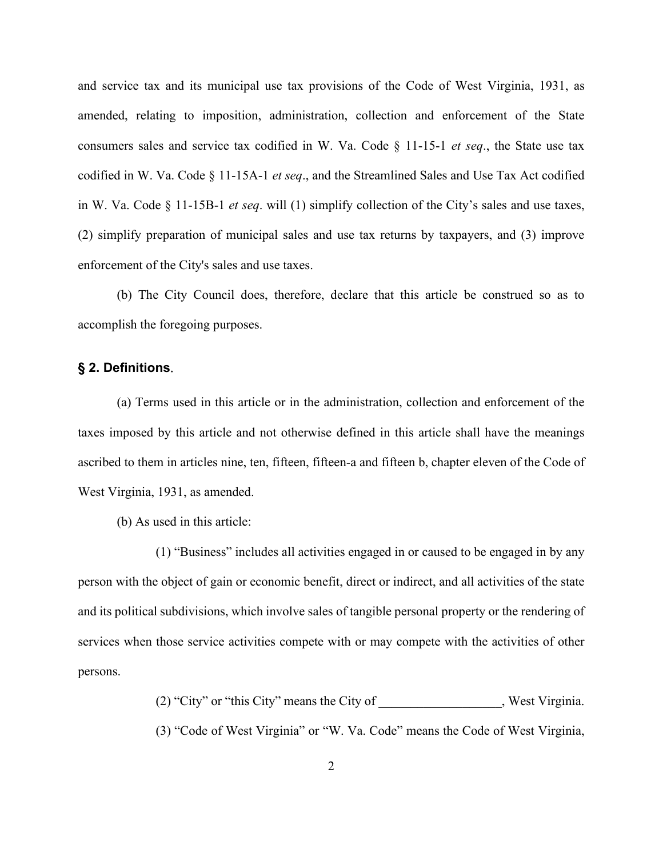and service tax and its municipal use tax provisions of the Code of West Virginia, 1931, as amended, relating to imposition, administration, collection and enforcement of the State consumers sales and service tax codified in W. Va. Code § 11-15-1 *et seq*., the State use tax codified in W. Va. Code § 11-15A-1 *et seq*., and the Streamlined Sales and Use Tax Act codified in W. Va. Code § 11-15B-1 *et seq*. will (1) simplify collection of the City's sales and use taxes, (2) simplify preparation of municipal sales and use tax returns by taxpayers, and (3) improve enforcement of the City's sales and use taxes.

(b) The City Council does, therefore, declare that this article be construed so as to accomplish the foregoing purposes.

#### <span id="page-1-0"></span>**§ 2. Definitions**.

(a) Terms used in this article or in the administration, collection and enforcement of the taxes imposed by this article and not otherwise defined in this article shall have the meanings ascribed to them in articles nine, ten, fifteen, fifteen-a and fifteen b, chapter eleven of the Code of West Virginia, 1931, as amended.

(b) As used in this article:

(1) "Business" includes all activities engaged in or caused to be engaged in by any person with the object of gain or economic benefit, direct or indirect, and all activities of the state and its political subdivisions, which involve sales of tangible personal property or the rendering of services when those service activities compete with or may compete with the activities of other persons.

(2) "City" or "this City" means the City of \_\_\_\_\_\_\_\_\_\_\_\_\_\_\_\_\_\_\_, West Virginia.

(3) "Code of West Virginia" or "W. Va. Code" means the Code of West Virginia,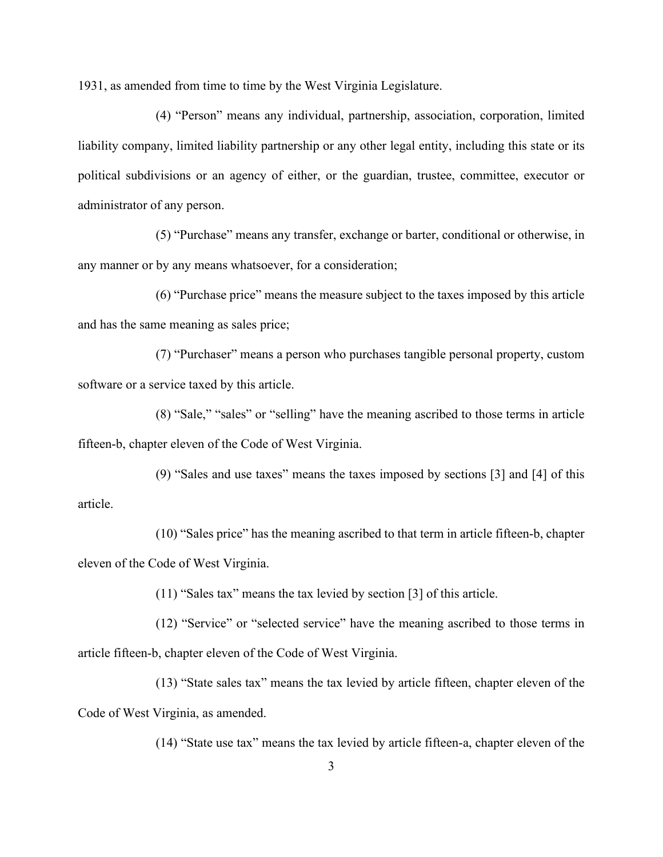1931, as amended from time to time by the West Virginia Legislature.

(4) "Person" means any individual, partnership, association, corporation, limited liability company, limited liability partnership or any other legal entity, including this state or its political subdivisions or an agency of either, or the guardian, trustee, committee, executor or administrator of any person.

(5) "Purchase" means any transfer, exchange or barter, conditional or otherwise, in any manner or by any means whatsoever, for a consideration;

(6) "Purchase price" means the measure subject to the taxes imposed by this article and has the same meaning as sales price;

(7) "Purchaser" means a person who purchases tangible personal property, custom software or a service taxed by this article.

(8) "Sale," "sales" or "selling" have the meaning ascribed to those terms in article fifteen-b, chapter eleven of the Code of West Virginia.

(9) "Sales and use taxes" means the taxes imposed by sections [3] and [4] of this article.

(10) "Sales price" has the meaning ascribed to that term in article fifteen-b, chapter eleven of the Code of West Virginia.

(11) "Sales tax" means the tax levied by section [3] of this article.

(12) "Service" or "selected service" have the meaning ascribed to those terms in article fifteen-b, chapter eleven of the Code of West Virginia.

(13) "State sales tax" means the tax levied by article fifteen, chapter eleven of the Code of West Virginia, as amended.

(14) "State use tax" means the tax levied by article fifteen-a, chapter eleven of the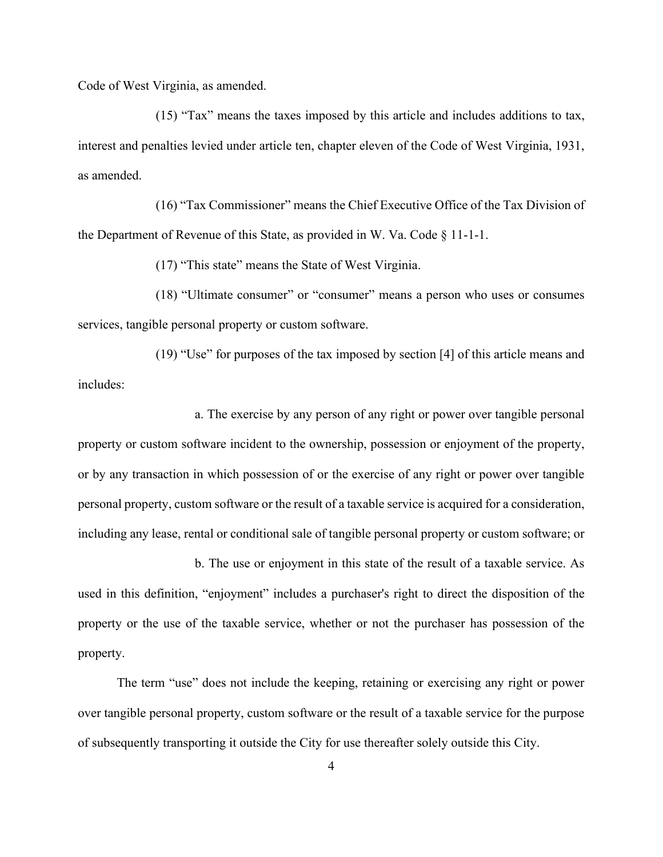Code of West Virginia, as amended.

(15) "Tax" means the taxes imposed by this article and includes additions to tax, interest and penalties levied under article ten, chapter eleven of the Code of West Virginia, 1931, as amended.

(16) "Tax Commissioner" means the Chief Executive Office of the Tax Division of the Department of Revenue of this State, as provided in W. Va. Code § 11-1-1.

(17) "This state" means the State of West Virginia.

(18) "Ultimate consumer" or "consumer" means a person who uses or consumes services, tangible personal property or custom software.

(19) "Use" for purposes of the tax imposed by section [4] of this article means and includes:

a. The exercise by any person of any right or power over tangible personal property or custom software incident to the ownership, possession or enjoyment of the property, or by any transaction in which possession of or the exercise of any right or power over tangible personal property, custom software or the result of a taxable service is acquired for a consideration, including any lease, rental or conditional sale of tangible personal property or custom software; or

b. The use or enjoyment in this state of the result of a taxable service. As used in this definition, "enjoyment" includes a purchaser's right to direct the disposition of the property or the use of the taxable service, whether or not the purchaser has possession of the property.

The term "use" does not include the keeping, retaining or exercising any right or power over tangible personal property, custom software or the result of a taxable service for the purpose of subsequently transporting it outside the City for use thereafter solely outside this City.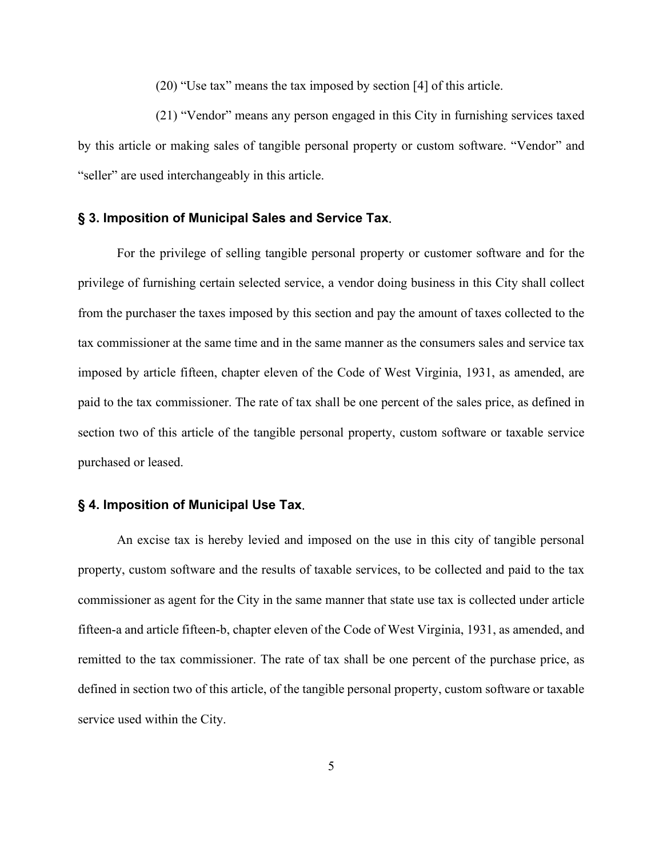(20) "Use tax" means the tax imposed by section [4] of this article.

(21) "Vendor" means any person engaged in this City in furnishing services taxed by this article or making sales of tangible personal property or custom software. "Vendor" and "seller" are used interchangeably in this article.

#### <span id="page-4-0"></span>**§ 3. Imposition of Municipal Sales and Service Tax**.

For the privilege of selling tangible personal property or customer software and for the privilege of furnishing certain selected service, a vendor doing business in this City shall collect from the purchaser the taxes imposed by this section and pay the amount of taxes collected to the tax commissioner at the same time and in the same manner as the consumers sales and service tax imposed by article fifteen, chapter eleven of the Code of West Virginia, 1931, as amended, are paid to the tax commissioner. The rate of tax shall be one percent of the sales price, as defined in section two of this article of the tangible personal property, custom software or taxable service purchased or leased.

# <span id="page-4-1"></span>**§ 4. Imposition of Municipal Use Tax**.

An excise tax is hereby levied and imposed on the use in this city of tangible personal property, custom software and the results of taxable services, to be collected and paid to the tax commissioner as agent for the City in the same manner that state use tax is collected under article fifteen-a and article fifteen-b, chapter eleven of the Code of West Virginia, 1931, as amended, and remitted to the tax commissioner. The rate of tax shall be one percent of the purchase price, as defined in section two of this article, of the tangible personal property, custom software or taxable service used within the City.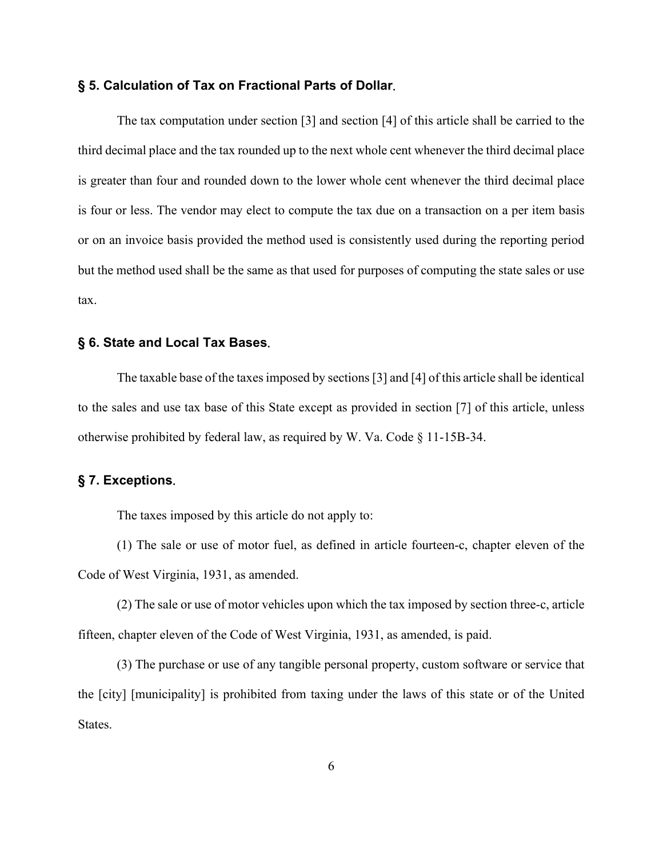#### <span id="page-5-0"></span>**§ 5. Calculation of Tax on Fractional Parts of Dollar**.

The tax computation under section [3] and section [4] of this article shall be carried to the third decimal place and the tax rounded up to the next whole cent whenever the third decimal place is greater than four and rounded down to the lower whole cent whenever the third decimal place is four or less. The vendor may elect to compute the tax due on a transaction on a per item basis or on an invoice basis provided the method used is consistently used during the reporting period but the method used shall be the same as that used for purposes of computing the state sales or use tax.

#### <span id="page-5-1"></span>**§ 6. State and Local Tax Bases**.

The taxable base of the taxes imposed by sections [3] and [4] of this article shall be identical to the sales and use tax base of this State except as provided in section [7] of this article, unless otherwise prohibited by federal law, as required by W. Va. Code § 11-15B-34.

#### <span id="page-5-2"></span>**§ 7. Exceptions**.

The taxes imposed by this article do not apply to:

(1) The sale or use of motor fuel, as defined in article fourteen-c, chapter eleven of the Code of West Virginia, 1931, as amended.

(2) The sale or use of motor vehicles upon which the tax imposed by section three-c, article fifteen, chapter eleven of the Code of West Virginia, 1931, as amended, is paid.

(3) The purchase or use of any tangible personal property, custom software or service that the [city] [municipality] is prohibited from taxing under the laws of this state or of the United States.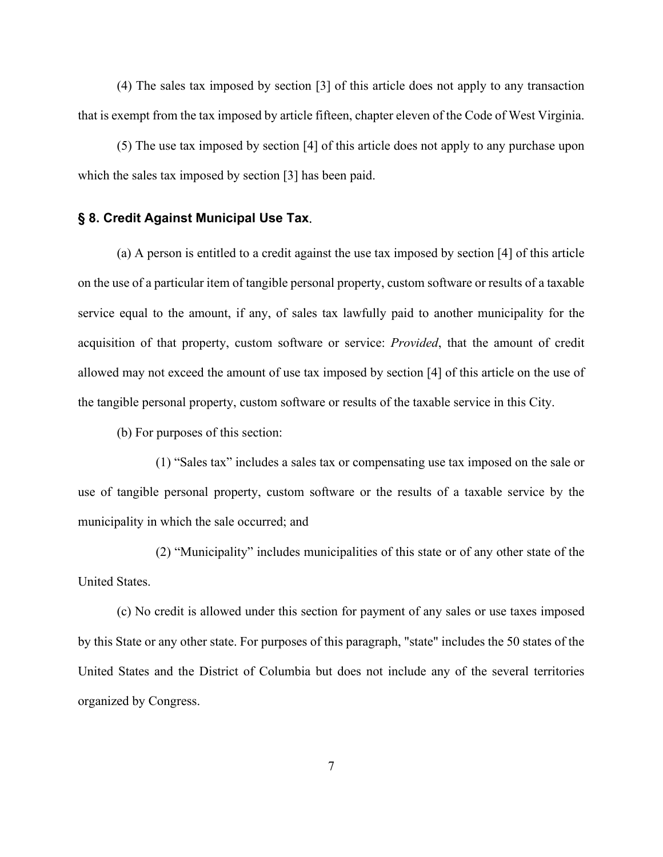(4) The sales tax imposed by section [3] of this article does not apply to any transaction that is exempt from the tax imposed by article fifteen, chapter eleven of the Code of West Virginia.

(5) The use tax imposed by section [4] of this article does not apply to any purchase upon which the sales tax imposed by section [3] has been paid.

## <span id="page-6-0"></span>**§ 8. Credit Against Municipal Use Tax**.

(a) A person is entitled to a credit against the use tax imposed by section [4] of this article on the use of a particular item of tangible personal property, custom software or results of a taxable service equal to the amount, if any, of sales tax lawfully paid to another municipality for the acquisition of that property, custom software or service: *Provided*, that the amount of credit allowed may not exceed the amount of use tax imposed by section [4] of this article on the use of the tangible personal property, custom software or results of the taxable service in this City.

(b) For purposes of this section:

(1) "Sales tax" includes a sales tax or compensating use tax imposed on the sale or use of tangible personal property, custom software or the results of a taxable service by the municipality in which the sale occurred; and

(2) "Municipality" includes municipalities of this state or of any other state of the United States.

(c) No credit is allowed under this section for payment of any sales or use taxes imposed by this State or any other state. For purposes of this paragraph, "state" includes the 50 states of the United States and the District of Columbia but does not include any of the several territories organized by Congress.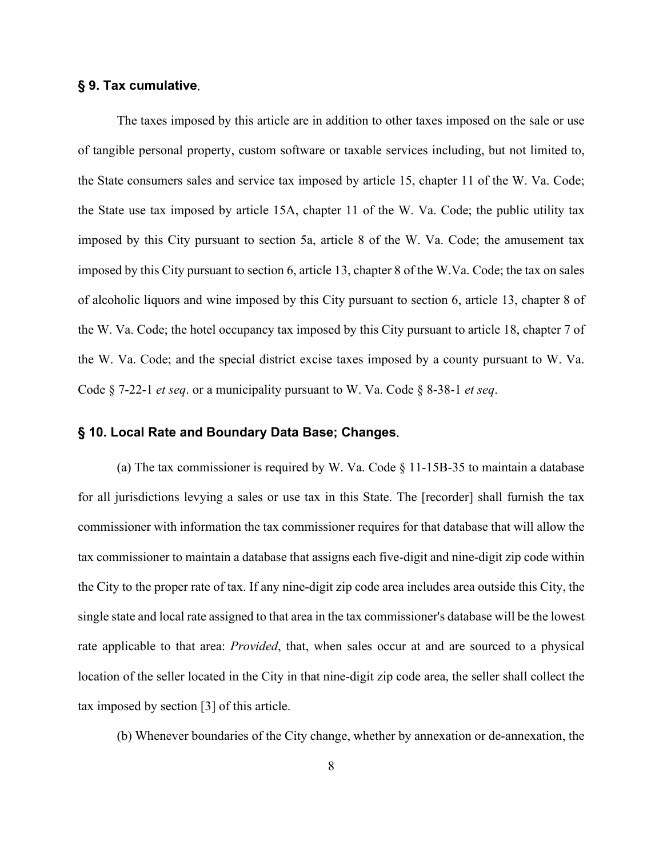# <span id="page-7-0"></span>**§ 9. Tax cumulative**.

The taxes imposed by this article are in addition to other taxes imposed on the sale or use of tangible personal property, custom software or taxable services including, but not limited to, the State consumers sales and service tax imposed by article 15, chapter 11 of the W. Va. Code; the State use tax imposed by article 15A, chapter 11 of the W. Va. Code; the public utility tax imposed by this City pursuant to section 5a, article 8 of the W. Va. Code; the amusement tax imposed by this City pursuant to section 6, article 13, chapter 8 of the W.Va. Code; the tax on sales of alcoholic liquors and wine imposed by this City pursuant to section 6, article 13, chapter 8 of the W. Va. Code; the hotel occupancy tax imposed by this City pursuant to article 18, chapter 7 of the W. Va. Code; and the special district excise taxes imposed by a county pursuant to W. Va. Code § 7-22-1 *et seq*. or a municipality pursuant to W. Va. Code § 8-38-1 *et seq*.

#### <span id="page-7-1"></span>**§ 10. Local Rate and Boundary Data Base; Changes**.

(a) The tax commissioner is required by W. Va. Code  $\S$  11-15B-35 to maintain a database for all jurisdictions levying a sales or use tax in this State. The [recorder] shall furnish the tax commissioner with information the tax commissioner requires for that database that will allow the tax commissioner to maintain a database that assigns each five-digit and nine-digit zip code within the City to the proper rate of tax. If any nine-digit zip code area includes area outside this City, the single state and local rate assigned to that area in the tax commissioner's database will be the lowest rate applicable to that area: *Provided*, that, when sales occur at and are sourced to a physical location of the seller located in the City in that nine-digit zip code area, the seller shall collect the tax imposed by section [3] of this article.

(b) Whenever boundaries of the City change, whether by annexation or de-annexation, the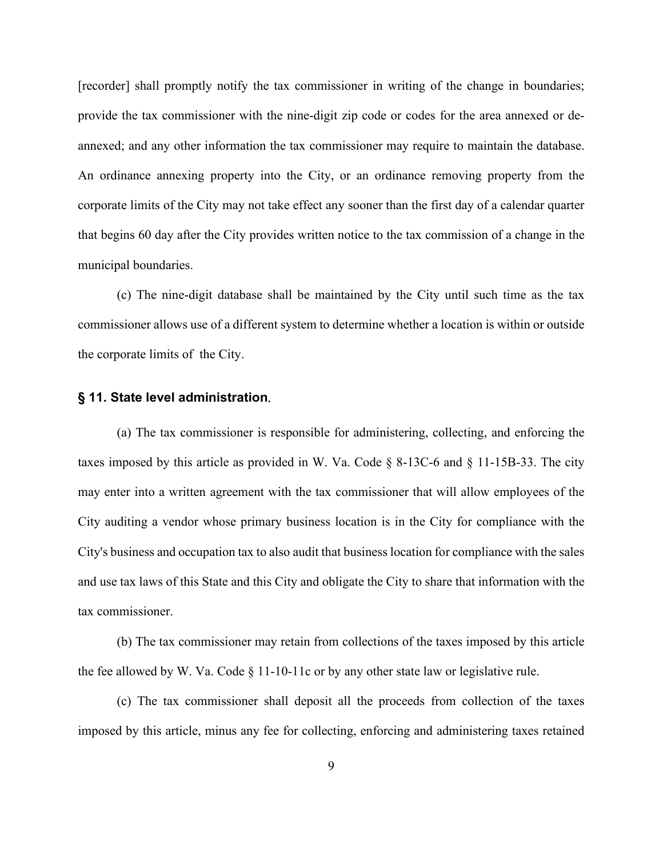[recorder] shall promptly notify the tax commissioner in writing of the change in boundaries; provide the tax commissioner with the nine-digit zip code or codes for the area annexed or deannexed; and any other information the tax commissioner may require to maintain the database. An ordinance annexing property into the City, or an ordinance removing property from the corporate limits of the City may not take effect any sooner than the first day of a calendar quarter that begins 60 day after the City provides written notice to the tax commission of a change in the municipal boundaries.

(c) The nine-digit database shall be maintained by the City until such time as the tax commissioner allows use of a different system to determine whether a location is within or outside the corporate limits of the City.

#### <span id="page-8-0"></span>**§ 11. State level administration**.

(a) The tax commissioner is responsible for administering, collecting, and enforcing the taxes imposed by this article as provided in W. Va. Code  $\S$  8-13C-6 and  $\S$  11-15B-33. The city may enter into a written agreement with the tax commissioner that will allow employees of the City auditing a vendor whose primary business location is in the City for compliance with the City's business and occupation tax to also audit that business location for compliance with the sales and use tax laws of this State and this City and obligate the City to share that information with the tax commissioner.

(b) The tax commissioner may retain from collections of the taxes imposed by this article the fee allowed by W. Va. Code  $\S$  11-10-11c or by any other state law or legislative rule.

(c) The tax commissioner shall deposit all the proceeds from collection of the taxes imposed by this article, minus any fee for collecting, enforcing and administering taxes retained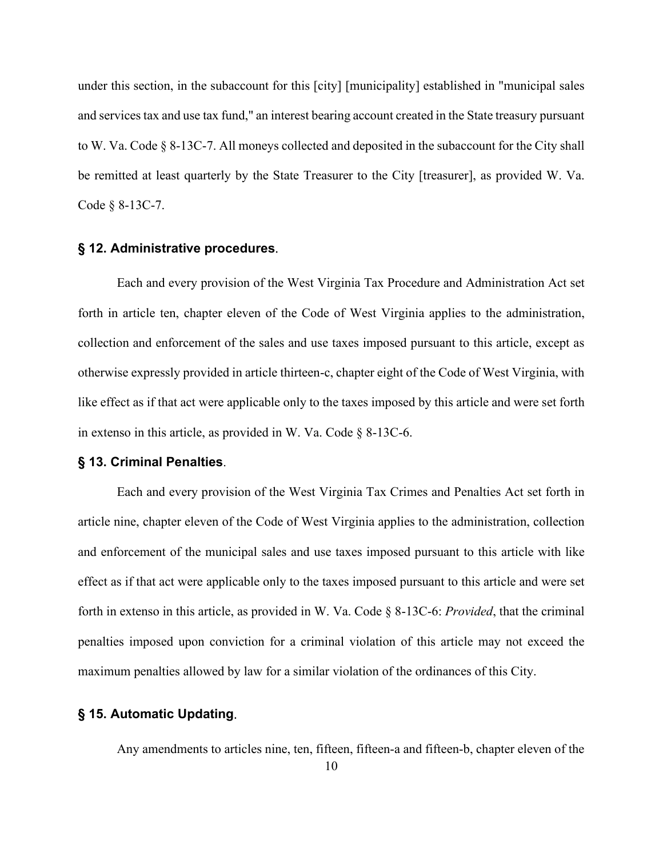under this section, in the subaccount for this [city] [municipality] established in "municipal sales and services tax and use tax fund," an interest bearing account created in the State treasury pursuant to W. Va. Code § 8-13C-7. All moneys collected and deposited in the subaccount for the City shall be remitted at least quarterly by the State Treasurer to the City [treasurer], as provided W. Va. Code § 8-13C-7.

#### <span id="page-9-0"></span>**§ 12. Administrative procedures**.

Each and every provision of the West Virginia Tax Procedure and Administration Act set forth in article ten, chapter eleven of the Code of West Virginia applies to the administration, collection and enforcement of the sales and use taxes imposed pursuant to this article, except as otherwise expressly provided in article thirteen-c, chapter eight of the Code of West Virginia, with like effect as if that act were applicable only to the taxes imposed by this article and were set forth in extenso in this article, as provided in W. Va. Code § 8-13C-6.

#### **§ 13. Criminal Penalties**.

Each and every provision of the West Virginia Tax Crimes and Penalties Act set forth in article nine, chapter eleven of the Code of West Virginia applies to the administration, collection and enforcement of the municipal sales and use taxes imposed pursuant to this article with like effect as if that act were applicable only to the taxes imposed pursuant to this article and were set forth in extenso in this article, as provided in W. Va. Code § 8-13C-6: *Provided*, that the criminal penalties imposed upon conviction for a criminal violation of this article may not exceed the maximum penalties allowed by law for a similar violation of the ordinances of this City.

## <span id="page-9-1"></span>**§ 15. Automatic Updating**.

Any amendments to articles nine, ten, fifteen, fifteen-a and fifteen-b, chapter eleven of the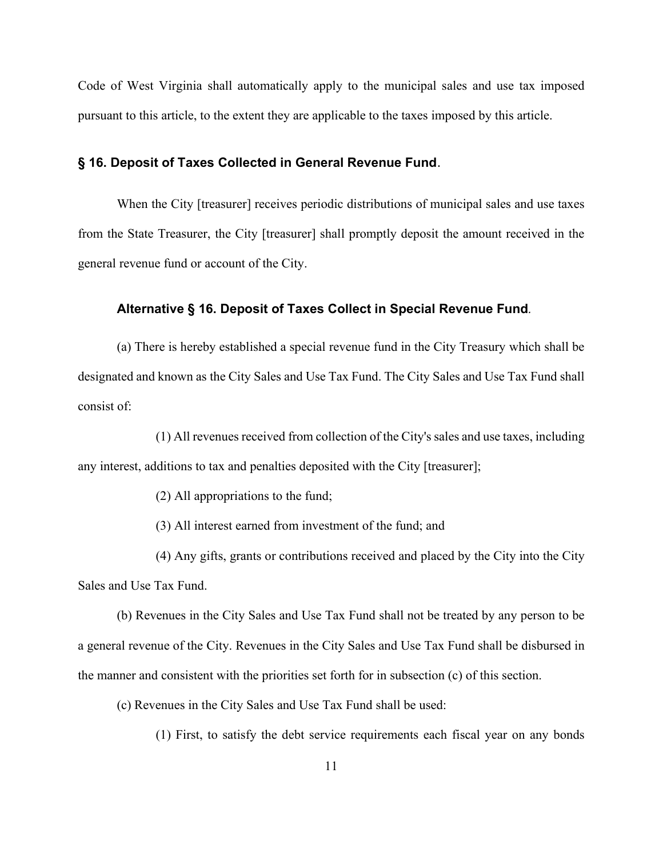Code of West Virginia shall automatically apply to the municipal sales and use tax imposed pursuant to this article, to the extent they are applicable to the taxes imposed by this article.

## <span id="page-10-0"></span>**§ 16. Deposit of Taxes Collected in General Revenue Fund**.

When the City [treasurer] receives periodic distributions of municipal sales and use taxes from the State Treasurer, the City [treasurer] shall promptly deposit the amount received in the general revenue fund or account of the City.

#### <span id="page-10-1"></span>**Alternative § 16. Deposit of Taxes Collect in Special Revenue Fund***.*

(a) There is hereby established a special revenue fund in the City Treasury which shall be designated and known as the City Sales and Use Tax Fund. The City Sales and Use Tax Fund shall consist of:

(1) All revenues received from collection of the City's sales and use taxes, including any interest, additions to tax and penalties deposited with the City [treasurer];

(2) All appropriations to the fund;

(3) All interest earned from investment of the fund; and

(4) Any gifts, grants or contributions received and placed by the City into the City Sales and Use Tax Fund.

(b) Revenues in the City Sales and Use Tax Fund shall not be treated by any person to be a general revenue of the City. Revenues in the City Sales and Use Tax Fund shall be disbursed in the manner and consistent with the priorities set forth for in subsection (c) of this section.

(c) Revenues in the City Sales and Use Tax Fund shall be used:

(1) First, to satisfy the debt service requirements each fiscal year on any bonds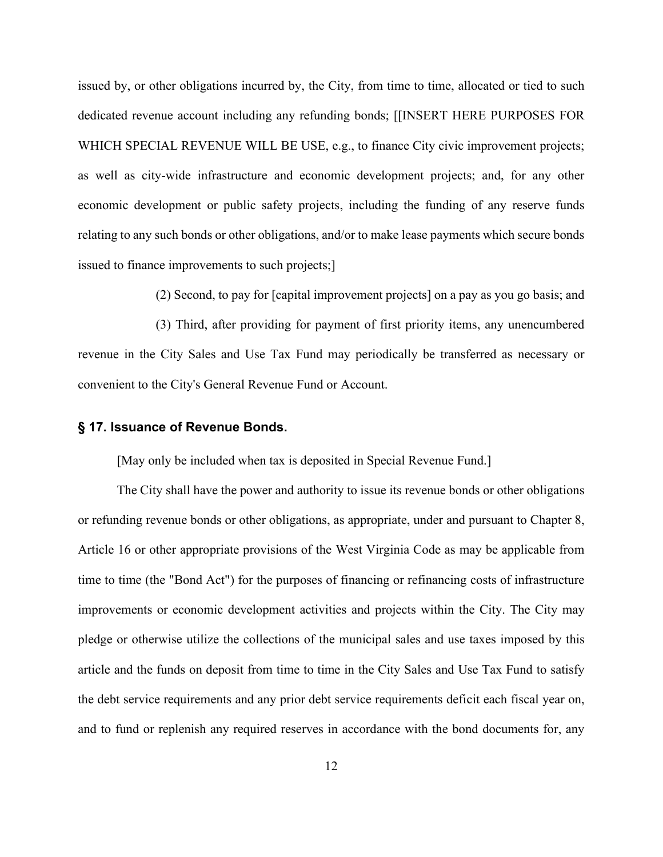issued by, or other obligations incurred by, the City, from time to time, allocated or tied to such dedicated revenue account including any refunding bonds; [[INSERT HERE PURPOSES FOR WHICH SPECIAL REVENUE WILL BE USE, e.g., to finance City civic improvement projects; as well as city-wide infrastructure and economic development projects; and, for any other economic development or public safety projects, including the funding of any reserve funds relating to any such bonds or other obligations, and/or to make lease payments which secure bonds issued to finance improvements to such projects;]

(2) Second, to pay for [capital improvement projects] on a pay as you go basis; and

(3) Third, after providing for payment of first priority items, any unencumbered revenue in the City Sales and Use Tax Fund may periodically be transferred as necessary or convenient to the City's General Revenue Fund or Account.

#### <span id="page-11-0"></span>**§ 17. Issuance of Revenue Bonds.**

[May only be included when tax is deposited in Special Revenue Fund.]

The City shall have the power and authority to issue its revenue bonds or other obligations or refunding revenue bonds or other obligations, as appropriate, under and pursuant to Chapter 8, Article 16 or other appropriate provisions of the West Virginia Code as may be applicable from time to time (the "Bond Act") for the purposes of financing or refinancing costs of infrastructure improvements or economic development activities and projects within the City. The City may pledge or otherwise utilize the collections of the municipal sales and use taxes imposed by this article and the funds on deposit from time to time in the City Sales and Use Tax Fund to satisfy the debt service requirements and any prior debt service requirements deficit each fiscal year on, and to fund or replenish any required reserves in accordance with the bond documents for, any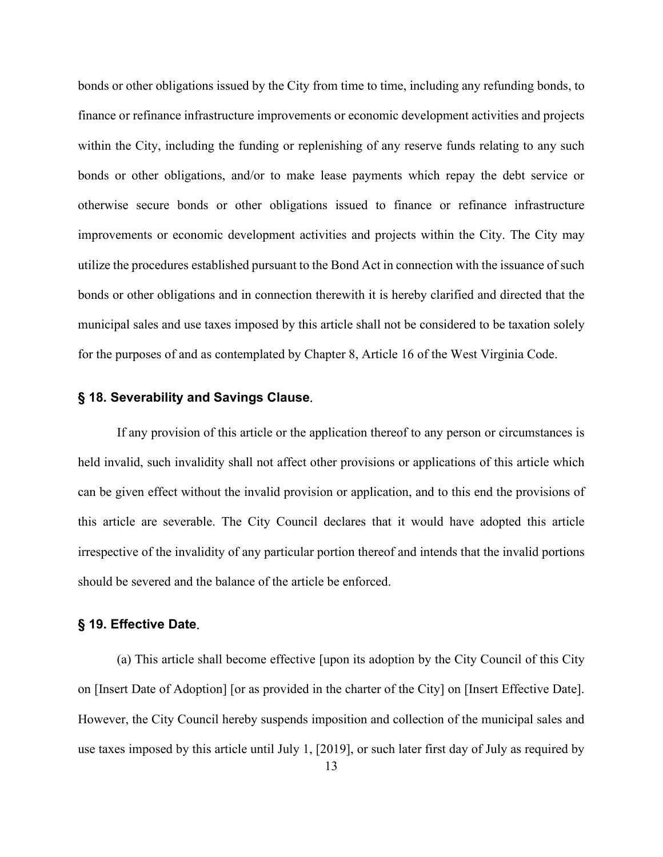bonds or other obligations issued by the City from time to time, including any refunding bonds, to finance or refinance infrastructure improvements or economic development activities and projects within the City, including the funding or replenishing of any reserve funds relating to any such bonds or other obligations, and/or to make lease payments which repay the debt service or otherwise secure bonds or other obligations issued to finance or refinance infrastructure improvements or economic development activities and projects within the City. The City may utilize the procedures established pursuant to the Bond Act in connection with the issuance of such bonds or other obligations and in connection therewith it is hereby clarified and directed that the municipal sales and use taxes imposed by this article shall not be considered to be taxation solely for the purposes of and as contemplated by Chapter 8, Article 16 of the West Virginia Code.

#### <span id="page-12-0"></span>**§ 18. Severability and Savings Clause**.

If any provision of this article or the application thereof to any person or circumstances is held invalid, such invalidity shall not affect other provisions or applications of this article which can be given effect without the invalid provision or application, and to this end the provisions of this article are severable. The City Council declares that it would have adopted this article irrespective of the invalidity of any particular portion thereof and intends that the invalid portions should be severed and the balance of the article be enforced.

# <span id="page-12-1"></span>**§ 19. Effective Date**.

(a) This article shall become effective [upon its adoption by the City Council of this City on [Insert Date of Adoption] [or as provided in the charter of the City] on [Insert Effective Date]. However, the City Council hereby suspends imposition and collection of the municipal sales and use taxes imposed by this article until July 1, [2019], or such later first day of July as required by